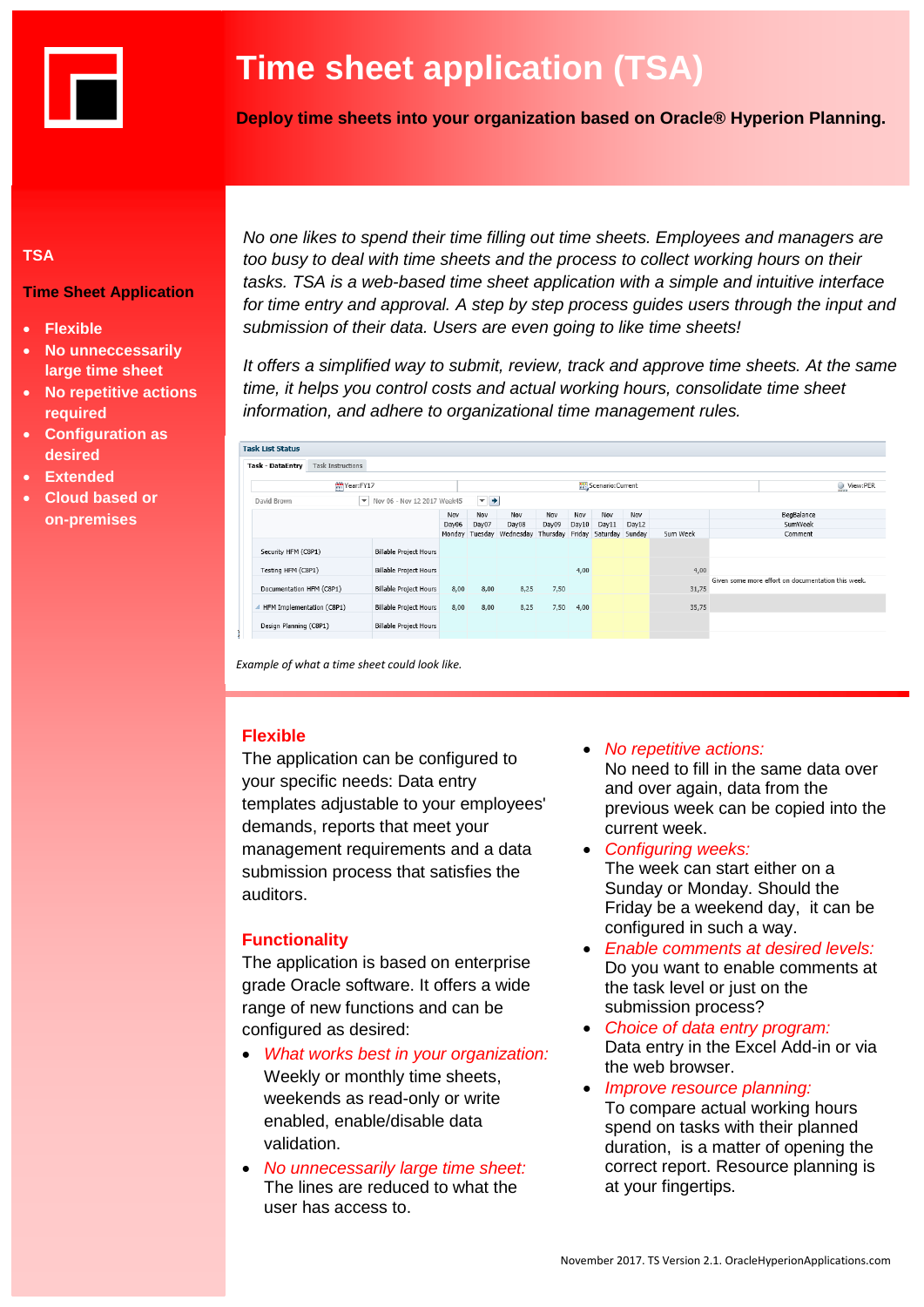

# **Time sheet application (TSA)**

**Deploy time sheets into your organization based on Oracle® Hyperion Planning.**

## **TSA**

**Time Sheet Application**

- **Flexible**
- **No unneccessarily large time sheet**
- **No repetitive actions required**
- **Configuration as desired**
- **Extended**
- **Cloud based or on-premises**

*No one likes to spend their time filling out time sheets. Employees and managers are too busy to deal with time sheets and the process to collect working hours on their tasks. TSA is a web-based time sheet application with a simple and intuitive interface for time entry and approval. A step by step process guides users through the input and submission of their data. Users are even going to like time sheets!*

*It offers a simplified way to submit, review, track and approve time sheets. At the same time, it helps you control costs and actual working hours, consolidate time sheet information, and adhere to organizational time management rules.*

| <b>Task List Status</b>                             |                                                   |       |                          |                                                          |       |       |       |       |          |                                                    |
|-----------------------------------------------------|---------------------------------------------------|-------|--------------------------|----------------------------------------------------------|-------|-------|-------|-------|----------|----------------------------------------------------|
| <b>Task Instructions</b><br><b>Task - DataEntry</b> |                                                   |       |                          |                                                          |       |       |       |       |          |                                                    |
| Year:FY17                                           |                                                   |       |                          | View:PER                                                 |       |       |       |       |          |                                                    |
| David Brown                                         | $\blacktriangleright$ Nov 06 - Nov 12 2017 Week45 |       | $\overline{\phantom{0}}$ |                                                          |       |       |       |       |          |                                                    |
|                                                     |                                                   | Nov   | Nov                      | Nov                                                      | Nov   | Nov   | Nov   | Nov   |          | BegBalance                                         |
|                                                     |                                                   | Day06 | Day07                    | Day08                                                    | Day09 | Day10 | Day11 | Day12 |          | SumWeek                                            |
|                                                     |                                                   |       |                          | Monday Tuesday Wednesday Thursday Friday Saturday Sunday |       |       |       |       | Sum Week | Comment                                            |
| Security HFM (C8P1)                                 | <b>Billable Project Hours</b>                     |       |                          |                                                          |       |       |       |       |          |                                                    |
| Testing HFM (C8P1)                                  | <b>Billable Project Hours</b>                     |       |                          |                                                          |       | 4,00  |       |       | 4,00     |                                                    |
| Documentation HFM (C8P1)                            | <b>Billable Project Hours</b>                     | 8,00  | 8,00                     | 8,25                                                     | 7,50  |       |       |       | 31,75    | Given some more effort on documentation this week. |
| HFM Implementation (C8P1)                           | <b>Billable Project Hours</b>                     | 8,00  | 8,00                     | 8,25                                                     | 7,50  | 4,00  |       |       | 35,75    |                                                    |
| Design Planning (C8P1)                              | <b>Billable Project Hours</b>                     |       |                          |                                                          |       |       |       |       |          |                                                    |
|                                                     |                                                   |       |                          |                                                          |       |       |       |       |          |                                                    |

*Example of what a time sheet could look like.*

### **Flexible**

The application can be configured to your specific needs: Data entry templates adjustable to your employees' demands, reports that meet your management requirements and a data submission process that satisfies the auditors.

### **Functionality**

The application is based on enterprise grade Oracle software. It offers a wide range of new functions and can be configured as desired:

- *What works best in your organization:* Weekly or monthly time sheets, weekends as read-only or write enabled, enable/disable data validation.
- *No unnecessarily large time sheet:* The lines are reduced to what the user has access to.
- *No repetitive actions:* No need to fill in the same data over and over again, data from the previous week can be copied into the
- current week. *Configuring weeks:* The week can start either on a Sunday or Monday. Should the Friday be a weekend day, it can be configured in such a way.
- *Enable comments at desired levels:* Do you want to enable comments at the task level or just on the submission process?
- *Choice of data entry program:* Data entry in the Excel Add-in or via the web browser.
- *Improve resource planning:* To compare actual working hours spend on tasks with their planned duration, is a matter of opening the correct report. Resource planning is at your fingertips.